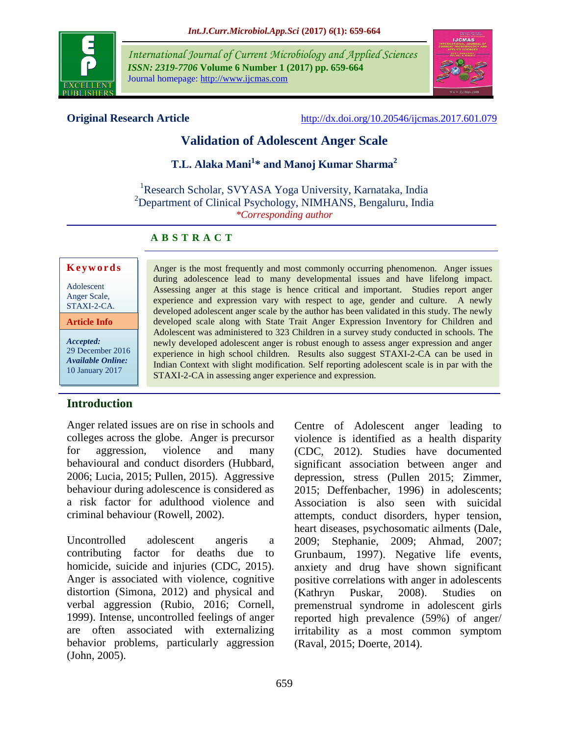

*International Journal of Current Microbiology and Applied Sciences ISSN: 2319-7706* **Volume 6 Number 1 (2017) pp. 659-664** Journal homepage: http://www.ijcmas.com



**Original Research Article** <http://dx.doi.org/10.20546/ijcmas.2017.601.079>

# **Validation of Adolescent Anger Scale**

# **T.L. Alaka Mani<sup>1</sup> \* and Manoj Kumar Sharma<sup>2</sup>**

<sup>1</sup>Research Scholar, SVYASA Yoga University, Karnataka, India <sup>2</sup>Department of Clinical Psychology, NIMHANS, Bengaluru, India *\*Corresponding author*

STAXI-2-CA in assessing anger experience and expression.

Anger is the most frequently and most commonly occurring phenomenon. Anger issues during adolescence lead to many developmental issues and have lifelong impact. Assessing anger at this stage is hence critical and important. Studies report anger experience and expression vary with respect to age, gender and culture. A newly developed adolescent anger scale by the author has been validated in this study. The newly developed scale along with State Trait Anger Expression Inventory for Children and Adolescent was administered to 323 Children in a survey study conducted in schools. The newly developed adolescent anger is robust enough to assess anger expression and anger experience in high school children. Results also suggest STAXI-2-CA can be used in Indian Context with slight modification. Self reporting adolescent scale is in par with the

# **A B S T R A C T**

## **K e y w o r d s**

Adolescent Anger Scale, STAXI-2-CA.

**Article Info**

*Accepted:*  29 December 2016 *Available Online:* 10 January 2017

## **Introduction**

Anger related issues are on rise in schools and colleges across the globe. Anger is precursor for aggression, violence and many behavioural and conduct disorders (Hubbard, 2006; Lucia, 2015; Pullen, 2015). Aggressive behaviour during adolescence is considered as a risk factor for adulthood violence and criminal behaviour (Rowell, 2002).

Uncontrolled adolescent angeris a contributing factor for deaths due to homicide, suicide and injuries (CDC, 2015). Anger is associated with violence, cognitive distortion (Simona, 2012) and physical and verbal aggression (Rubio, 2016; Cornell, 1999). Intense, uncontrolled feelings of anger are often associated with externalizing behavior problems, particularly aggression (John, 2005).

Centre of Adolescent anger leading to violence is identified as a health disparity (CDC, 2012). Studies have documented significant association between anger and depression, stress (Pullen 2015; Zimmer, 2015; Deffenbacher, 1996) in adolescents; Association is also seen with suicidal attempts, conduct disorders, hyper tension, heart diseases, psychosomatic ailments (Dale, 2009; Stephanie, 2009; Ahmad, 2007; Grunbaum, 1997). Negative life events, anxiety and drug have shown significant positive correlations with anger in adolescents (Kathryn Puskar, 2008). Studies on premenstrual syndrome in adolescent girls reported high prevalence (59%) of anger/ irritability as a most common symptom (Raval, 2015; Doerte, 2014).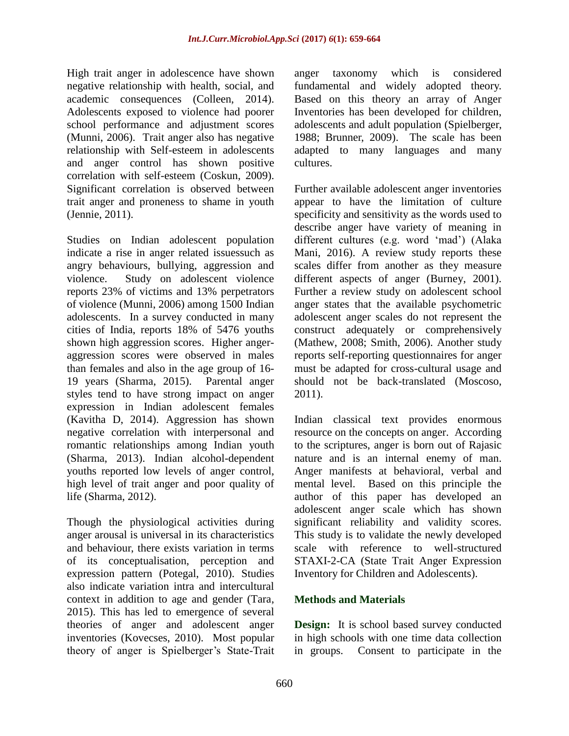High trait anger in adolescence have shown negative relationship with health, social, and academic consequences (Colleen, 2014). Adolescents exposed to violence had poorer school performance and adjustment scores (Munni, 2006). Trait anger also has negative relationship with Self-esteem in adolescents and anger control has shown positive correlation with self-esteem (Coskun, 2009). Significant correlation is observed between trait anger and proneness to shame in youth (Jennie, 2011).

Studies on Indian adolescent population indicate a rise in anger related issuessuch as angry behaviours, bullying, aggression and violence. Study on adolescent violence reports 23% of victims and 13% perpetrators of violence (Munni, 2006) among 1500 Indian adolescents. In a survey conducted in many cities of India, reports 18% of 5476 youths shown high aggression scores. Higher angeraggression scores were observed in males than females and also in the age group of 16- 19 years (Sharma, 2015). Parental anger styles tend to have strong impact on anger expression in Indian adolescent females (Kavitha D, 2014). Aggression has shown negative correlation with interpersonal and romantic relationships among Indian youth (Sharma, 2013). Indian alcohol-dependent youths reported low levels of anger control, high level of trait anger and poor quality of life (Sharma, 2012).

Though the physiological activities during anger arousal is universal in its characteristics and behaviour, there exists variation in terms of its conceptualisation, perception and expression pattern (Potegal, 2010). Studies also indicate variation intra and intercultural context in addition to age and gender (Tara, 2015). This has led to emergence of several theories of anger and adolescent anger inventories (Kovecses, 2010). Most popular theory of anger is Spielberger's State-Trait anger taxonomy which is considered fundamental and widely adopted theory. Based on this theory an array of Anger Inventories has been developed for children, adolescents and adult population (Spielberger, 1988; Brunner, 2009). The scale has been adapted to many languages and many cultures.

Further available adolescent anger inventories appear to have the limitation of culture specificity and sensitivity as the words used to describe anger have variety of meaning in different cultures (e.g. word 'mad') (Alaka Mani, 2016). A review study reports these scales differ from another as they measure different aspects of anger (Burney, 2001). Further a review study on adolescent school anger states that the available psychometric adolescent anger scales do not represent the construct adequately or comprehensively (Mathew, 2008; Smith, 2006). Another study reports self-reporting questionnaires for anger must be adapted for cross-cultural usage and should not be back-translated (Moscoso, 2011).

Indian classical text provides enormous resource on the concepts on anger. According to the scriptures, anger is born out of Rajasic nature and is an internal enemy of man. Anger manifests at behavioral, verbal and mental level. Based on this principle the author of this paper has developed an adolescent anger scale which has shown significant reliability and validity scores. This study is to validate the newly developed scale with reference to well-structured STAXI-2-CA (State Trait Anger Expression Inventory for Children and Adolescents).

## **Methods and Materials**

**Design:** It is school based survey conducted in high schools with one time data collection in groups. Consent to participate in the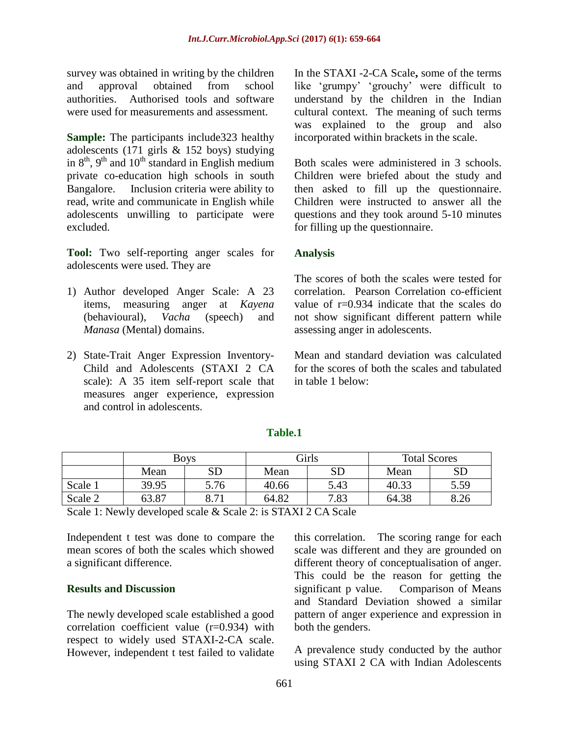survey was obtained in writing by the children and approval obtained from school authorities. Authorised tools and software were used for measurements and assessment.

**Sample:** The participants include323 healthy adolescents (171 girls & 152 boys) studying in  $8<sup>th</sup>$ ,  $9<sup>th</sup>$  and  $10<sup>th</sup>$  standard in English medium private co-education high schools in south Bangalore. Inclusion criteria were ability to read, write and communicate in English while adolescents unwilling to participate were excluded.

**Tool:** Two self-reporting anger scales for adolescents were used. They are

- 1) Author developed Anger Scale: A 23 items, measuring anger at *Kayena* (behavioural), *Vacha* (speech) and *Manasa* (Mental) domains.
- 2) State-Trait Anger Expression Inventory-Child and Adolescents (STAXI 2 CA scale): A 35 item self-report scale that measures anger experience, expression and control in adolescents.

In the STAXI -2-CA Scale**,** some of the terms like 'grumpy' 'grouchy' were difficult to understand by the children in the Indian cultural context. The meaning of such terms was explained to the group and also incorporated within brackets in the scale.

Both scales were administered in 3 schools. Children were briefed about the study and then asked to fill up the questionnaire. Children were instructed to answer all the questions and they took around 5-10 minutes for filling up the questionnaire.

## **Analysis**

The scores of both the scales were tested for correlation. Pearson Correlation co-efficient value of r=0.934 indicate that the scales do not show significant different pattern while assessing anger in adolescents.

Mean and standard deviation was calculated for the scores of both the scales and tabulated in table 1 below:

|         | <b>Boys</b> |                 | Girls |      | <b>Total Scores</b> |           |
|---------|-------------|-----------------|-------|------|---------------------|-----------|
|         | Mean        | ${\rm SD}$      | Mean  | SD   | Mean                | <b>SD</b> |
| Scale 1 | 39.95       | 5.76            | 40.66 | 5.43 | 40.33               | 5.59      |
| Scale 2 | 63.87       | Q <sub>71</sub> | 64.82 | 7.83 | 64.38               | 8.26      |

**Table.1**

Scale 1: Newly developed scale & Scale 2: is STAXI 2 CA Scale

Independent t test was done to compare the mean scores of both the scales which showed a significant difference.

#### **Results and Discussion**

The newly developed scale established a good correlation coefficient value (r=0.934) with respect to widely used STAXI-2-CA scale. However, independent t test failed to validate this correlation. The scoring range for each scale was different and they are grounded on different theory of conceptualisation of anger. This could be the reason for getting the significant p value. Comparison of Means and Standard Deviation showed a similar pattern of anger experience and expression in both the genders.

A prevalence study conducted by the author using STAXI 2 CA with Indian Adolescents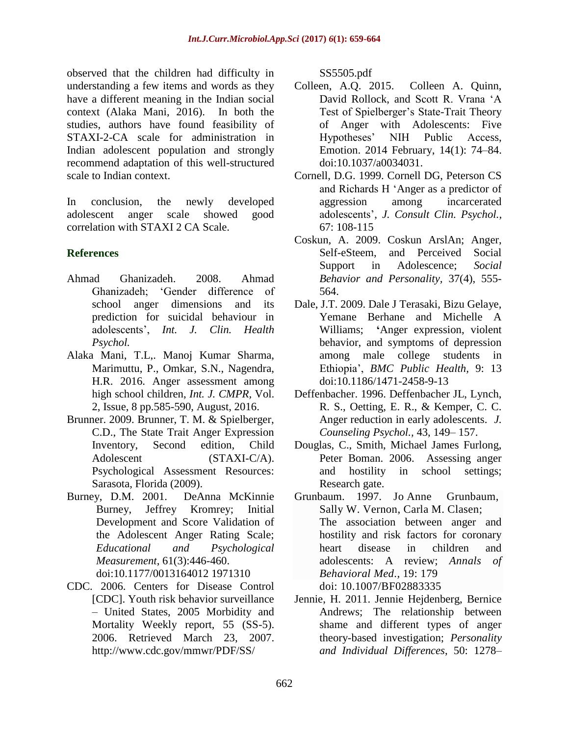observed that the children had difficulty in understanding a few items and words as they have a different meaning in the Indian social context (Alaka Mani, 2016). In both the studies, authors have found feasibility of STAXI-2-CA scale for administration in Indian adolescent population and strongly recommend adaptation of this well-structured scale to Indian context.

In conclusion, the newly developed adolescent anger scale showed good correlation with STAXI 2 CA Scale.

# **References**

- Ahmad Ghanizadeh. 2008. Ahmad Ghanizadeh; 'Gender difference of school anger dimensions and its prediction for suicidal behaviour in adolescents', *Int. J. Clin. Health Psychol.*
- Alaka Mani, T.L,. Manoj Kumar Sharma, Marimuttu, P., Omkar, S.N., Nagendra, H.R. 2016. Anger assessment among high school children, *Int. J. CMPR,* Vol. 2, Issue, 8 pp.585-590, August, 2016.
- Brunner. 2009. Brunner, T. M. & Spielberger, C.D., The State Trait Anger Expression Inventory, Second edition, Child Adolescent (STAXI-C/A). Psychological Assessment Resources: Sarasota, Florida (2009).
- Burney, D.M. 2001. DeAnna McKinnie Burney, Jeffrey Kromrey; Initial Development and Score Validation of the Adolescent Anger Rating Scale; *[Educational and Psychological](https://www.researchgate.net/journal/0013-1644_Educational_and_Psychological_Measurement)  [Measurement](https://www.researchgate.net/journal/0013-1644_Educational_and_Psychological_Measurement)*, 61(3):446-460. doi:10.1177/0013164012 1971310
- CDC. 2006. Centers for Disease Control [CDC]. Youth risk behavior surveillance – United States, 2005 Morbidity and Mortality Weekly report, 55 (SS-5). 2006. Retrieved March 23, 2007. http://www.cdc.gov/mmwr/PDF/SS/

SS5505.pdf

- Colleen, A.Q. 2015. Colleen A. Quinn, David Rollock, and Scott R. Vrana 'A Test of Spielberger's State-Trait Theory of Anger with Adolescents: Five Hypotheses' NIH Public Access, Emotion. 2014 February, 14(1): 74–84. doi:10.1037/a0034031.
- Cornell, D.G. 1999. Cornell DG, Peterson CS and Richards H 'Anger as a predictor of aggression among incarcerated adolescents', *J. Consult Clin. Psychol.,* 67: 108-115
- Coskun, A. 2009. Coskun ArslAn; Anger, Self-eSteem, and Perceived Social Support in Adolescence; *Social Behavior and Personality,* 37(4), 555- 564.
- Dale, J.T. 2009. Dale J Terasaki, Bizu Gelaye, Yemane Berhane and Michelle A Williams; **'**Anger expression, violent behavior, and symptoms of depression among male college students in Ethiopia', *BMC Public Health,* 9: 13 doi:10.1186/1471-2458-9-13
- Deffenbacher. 1996. Deffenbacher JL, Lynch, R. S., Oetting, E. R., & Kemper, C. C. Anger reduction in early adolescents. *J. Counseling Psychol.,* 43, 149– 157.
- Douglas, C., Smith, Michael James Furlong, Peter Boman. 2006. Assessing anger and hostility in school settings; Research gate.
- Grunbaum. 1997. Jo Anne [Grunbaum,](http://link.springer.com/article/10.1007/BF02883335#author-details-1) Sally W. [Vernon,](http://link.springer.com/article/10.1007/BF02883335#author-details-2) Carla M. [Clasen;](http://link.springer.com/article/10.1007/BF02883335#author-details-3) The association between anger and hostility and risk factors for coronary heart disease in children and adolescents: A review; *[Annals of](http://link.springer.com/journal/12160)  [Behavioral Med.](http://link.springer.com/journal/12160),* 19: 179 doi: 10.1007/BF02883335
- Jennie, H. 2011. Jennie Hejdenberg, Bernice Andrews; The relationship between shame and different types of anger theory-based investigation; *Personality and Individual Differences*, 50: 1278–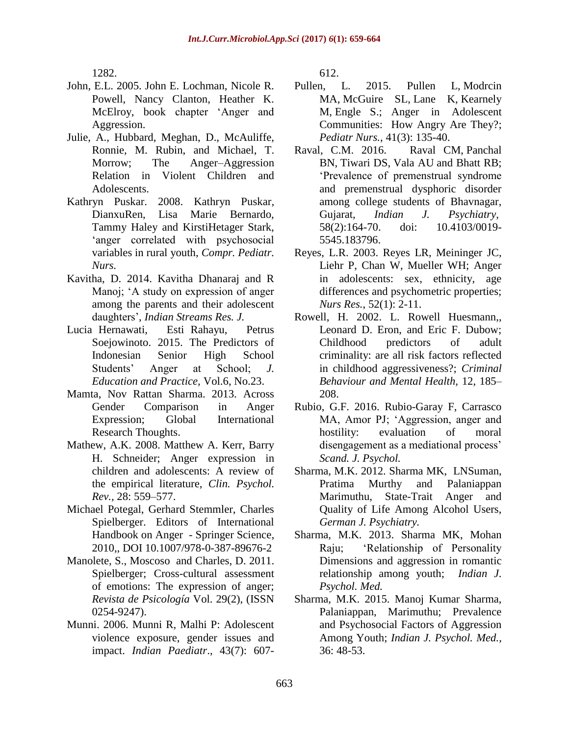1282.

- John, E.L. 2005. John E. Lochman, Nicole R. Powell, Nancy Clanton, Heather K. McElroy, book chapter 'Anger and Aggression.
- Julie, A., Hubbard, Meghan, D., McAuliffe, Ronnie, M. Rubin, and Michael, T. Morrow; The Anger–Aggression Relation in Violent Children and Adolescents.
- Kathryn Puskar. 2008. Kathryn Puskar, DianxuRen, Lisa Marie Bernardo, Tammy Haley and KirstiHetager Stark, 'anger correlated with psychosocial variables in rural youth, *Compr. Pediatr. Nurs.*
- Kavitha, D. 2014. Kavitha Dhanaraj and R Manoj; 'A study on expression of anger among the parents and their adolescent daughters', *Indian Streams Res. J.*
- Lucia Hernawati, Esti Rahayu, Petrus Soejowinoto. 2015. The Predictors of Indonesian Senior High School Students' Anger at School; *J. Education and Practice,* Vol.6, No.23.
- Mamta, Nov Rattan Sharma. 2013. Across Gender Comparison in Anger Expression; Global International Research Thoughts.
- Mathew, A.K. 2008. Matthew A. Kerr, Barry H. Schneider; Anger expression in children and adolescents: A review of the empirical literature, *Clin. Psychol. Rev.,* 28: 559–577.
- Michael Potegal, Gerhard Stemmler, Charles Spielberger. Editors of International Handbook on Anger - Springer Science, 2010,, DOI 10.1007/978-0-387-89676-2
- Manolete, S., Moscoso and Charles, D. 2011. Spielberger; Cross-cultural assessment of emotions: The expression of anger; *Revista de Psicología* Vol. 29(2), (ISSN 0254-9247).
- Munni. 2006. Munni R, Malhi P: Adolescent violence exposure, gender issues and impact. *Indian Paediatr*., 43(7): 607-

612.

- Pullen, L. 2015. [Pullen L,](http://www.ncbi.nlm.nih.gov/pubmed/?term=Pullen%20L%5BAuthor%5D&cauthor=true&cauthor_uid=26201172) [Modrcin](http://www.ncbi.nlm.nih.gov/pubmed/?term=Modrcin%20MA%5BAuthor%5D&cauthor=true&cauthor_uid=26201172)  [MA,](http://www.ncbi.nlm.nih.gov/pubmed/?term=Modrcin%20MA%5BAuthor%5D&cauthor=true&cauthor_uid=26201172) [McGuire SL,](http://www.ncbi.nlm.nih.gov/pubmed/?term=McGuire%20SL%5BAuthor%5D&cauthor=true&cauthor_uid=26201172) [Lane K,](http://www.ncbi.nlm.nih.gov/pubmed/?term=Lane%20K%5BAuthor%5D&cauthor=true&cauthor_uid=26201172) [Kearnely](http://www.ncbi.nlm.nih.gov/pubmed/?term=Kearnely%20M%5BAuthor%5D&cauthor=true&cauthor_uid=26201172)  [M,](http://www.ncbi.nlm.nih.gov/pubmed/?term=Kearnely%20M%5BAuthor%5D&cauthor=true&cauthor_uid=26201172) [Engle S.](http://www.ncbi.nlm.nih.gov/pubmed/?term=Engle%20S%5BAuthor%5D&cauthor=true&cauthor_uid=26201172); Anger in Adolescent Communities: How Angry Are They?; *[Pediatr Nurs.](http://www.ncbi.nlm.nih.gov/pubmed/26201172)*, 41(3): 135-40.
- Raval, C.M. 2016. [Raval](http://www.ncbi.nlm.nih.gov/pubmed/?term=Raval%20CM%5Bauth%5D) CM, [Panchal](http://www.ncbi.nlm.nih.gov/pubmed/?term=Panchal%20BN%5Bauth%5D) BN, [Tiwari](http://www.ncbi.nlm.nih.gov/pubmed/?term=Tiwari%20DS%5Bauth%5D) DS, [Vala](http://www.ncbi.nlm.nih.gov/pubmed/?term=Vala%20AU%5Bauth%5D) AU and [Bhatt](http://www.ncbi.nlm.nih.gov/pubmed/?term=Bhatt%20RB%5Bauth%5D) RB; 'Prevalence of premenstrual syndrome and premenstrual dysphoric disorder among college students of Bhavnagar, Gujarat, *[Indian J.](http://www.ncbi.nlm.nih.gov/pubmed/27385849) Psychiatry,* 58(2):164-70. doi: 10.4103/0019- 5545.183796.
- Reyes, L.R. 2003. Reyes LR, Meininger JC, Liehr P, Chan W, Mueller WH; Anger in adolescents: sex, ethnicity, age differences and psychometric properties; *[Nurs Res.](http://www.ncbi.nlm.nih.gov/pubmed/12552170)*, 52(1): 2-11.
- Rowell, H. 2002. L. Rowell Huesmann,, Leonard D. Eron, and Eric F. Dubow; Childhood predictors of adult criminality: are all risk factors reflected in childhood aggressiveness?; *Criminal Behaviour and Mental Health,* 12, 185– 208.
- Rubio, G.F. 2016. Rubio-Garay F, Carrasco MA, Amor PJ; 'Aggression, anger and hostility: evaluation of moral disengagement as a mediational process' *Scand. J. Psychol.*
- Sharma, M.K. 2012. Sharma MK, LNSuman, Pratima Murthy and Palaniappan Marimuthu, State-Trait Anger and Quality of Life Among Alcohol Users, *German J. Psychiatry.*
- Sharma, M.K. 2013. Sharma MK, Mohan Raju; 'Relationship of Personality Dimensions and aggression in romantic relationship among youth; *Indian J. Psychol. Med.*
- Sharma, M.K. 2015. Manoj Kumar Sharma, Palaniappan, Marimuthu; Prevalence and Psychosocial Factors of Aggression Among Youth; *Indian J. Psychol. Med.,*  36: 48-53.